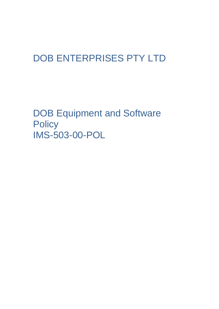# DOB ENTERPRISES PTY LTD

DOB Equipment and Software **Policy** IMS-503-00-POL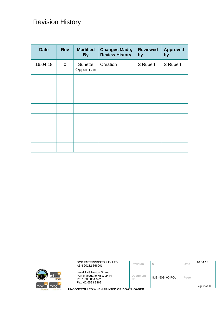| <b>Date</b> | <b>Rev</b> | <b>Modified</b><br><b>By</b> | <b>Changes Made,</b><br><b>Review History</b> | <b>Reviewed</b><br>by | <b>Approved</b><br>by |
|-------------|------------|------------------------------|-----------------------------------------------|-----------------------|-----------------------|
| 16.04.18    | 0          | Sunette<br>Opperman          | Creation                                      | S Rupert              | S Rupert              |
|             |            |                              |                                               |                       |                       |
|             |            |                              |                                               |                       |                       |
|             |            |                              |                                               |                       |                       |
|             |            |                              |                                               |                       |                       |
|             |            |                              |                                               |                       |                       |
|             |            |                              |                                               |                       |                       |
|             |            |                              |                                               |                       |                       |
|             |            |                              |                                               |                       |                       |

|                                                  | DOB ENTERPRISES PTY LTD<br>ABN 20112 866001                              | Revision       | 0               | Date | 16.04.18     |
|--------------------------------------------------|--------------------------------------------------------------------------|----------------|-----------------|------|--------------|
| mbc<br>ē<br><b>Icloour hire</b>                  | Level 1 49 Horton Street<br>Port Macquarie NSW 2444<br>Ph: 1 300 854 622 | Document<br>No | IMS -503-00-POL | Page |              |
| mbc<br>Imbo<br>m <sub>tc</sub><br>sursing agency | Fax: 02 6583 8468<br>UNCONTROLLED WHEN PRINTED OR DOWNLOADED             |                |                 |      | Page 2 of 10 |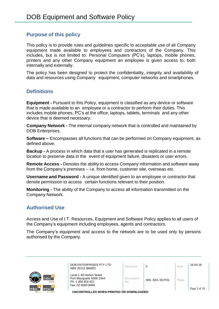#### **Purpose of this policy**

This policy is to provide rules and guidelines specific to acceptable use of all Company equipment made available to employees and contractors of the Company. This includes, but is not limited to: Personal Computers (PC's), laptops, mobile phones, printers and any other Company equipment an employee is given access to, both internally and externally.

The policy has been designed to protect the confidentiality, integrity and availability of data and resources using Company equipment, computer networks and smartphones.

#### **Definitions**

**Equipment -** Pursuant to this Policy, equipment is classified as any device or software that is made available to an employee or a contractor to perform their duties. This includes mobile phones, PC's at the office, laptops, tablets, terminals and any other device that is deemed necessary.

**Company Network -** The internal company network that is controlled and maintained by DOB Enterprises.

**Software –** Encompasses all functions that can be performed on Company equipment, as defined above.

**Backup -** A process in which data that a user has generated is replicated in a remote location to preserve data in the event of equipment failure, disasters or user errors.

**Remote Access -** Denotes the ability to access Company information and software away from the Company's premises – i.e. from home, customer site, overseas etc.

**Username and Password -** A unique identified given to an employee or contractor that denote permission to access certain functions relevant to their position.

**Monitoring -** The ability of the Company to access all information transmitted on the Company Network.

# **Authorised Use**

Access and Use of I.T. Resources, Equipment and Software Policy applies to all users of the Company's equipment including employees, agents and contractors.

The Company's equipment and access to the network are to be used only by persons authorised by the Company.



| DOB ENTERPRISES PTY LTD<br>ABN 20112 866001                                                   | Revision       |                 | Date | 16.04.18            |
|-----------------------------------------------------------------------------------------------|----------------|-----------------|------|---------------------|
| Level 1 49 Horton Street<br>Port Macquarie NSW 2444<br>Ph: 1 300 854 622<br>Fax: 02 6583 8468 | Document<br>No | IMS -503-00-POL | Page | $D_{200}$ $3$ of 10 |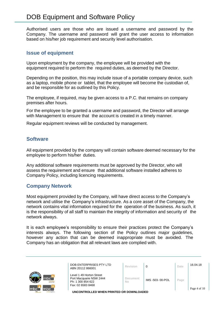# DOB Equipment and Software Policy

Authorised users are those who are issued a username and password by the Company. The username and password will grant the user access to information based on his/her job requirement and security level authorisation.

#### **Issue of equipment**

Upon employment by the company, the employee will be provided with the equipment required to perform the required duties, as deemed by the Director.

Depending on the position, this may include issue of a portable company device, such as a laptop, mobile phone or tablet, that the employee will become the custodian of, and be responsible for as outlined by this Policy.

The employee, if required, may be given access to a P.C. that remains on company premises after hours.

For the employee to be granted a username and password, the Director will arrange with Management to ensure that the account is created in a timely manner.

Regular equipment reviews will be conducted by management.

#### **Software**

All equipment provided by the company will contain software deemed necessary for the employee to perform his/her duties.

Any additional software requirements must be approved by the Director, who will assess the requirement and ensure that additional software installed adheres to Company Policy, including licencing requirements.

#### **Company Network**

Most equipment provided by the Company, will have direct access to the Company's network and utilise the Company's infrastructure. As a core asset of the Company, the network contains vital information required for the operation of the business. As such, it is the responsibility of all staff to maintain the integrity of information and security of the network always.

It is each employee's responsibility to ensure their practices protect the Company's interests always. The following section of the Policy outlines major guidelines, however any action that can be deemed inappropriate must be avoided. The Company has an obligation that all relevant laws are complied with.

|                                         | DOB ENTERPRISES PTY LTD<br>ABN 20112 866001                              | Revision       | 0               | Date | 16.04.18     |
|-----------------------------------------|--------------------------------------------------------------------------|----------------|-----------------|------|--------------|
| mbc <sup>-</sup><br><b>Icloour hire</b> | Level 1 49 Horton Street<br>Port Macquarie NSW 2444<br>Ph: 1 300 854 622 | Document<br>No | IMS -503-00-POL | Page |              |
| mbc`<br><b>Imbo</b>                     | Fax: 02 6583 8468                                                        |                |                 |      | Page 4 of 10 |
| sursing agency                          | UNCONTROLLED WHEN PRINTED OR DOWNLOADED                                  |                |                 |      |              |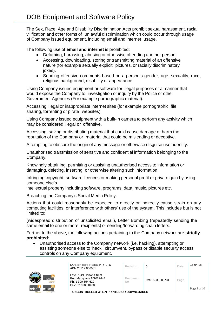The Sex, Race, Age and Disability Discrimination Acts prohibit sexual harassment, racial vilification and other forms of unlawful discrimination which could occur through usage of Company issued equipment, including email and internet usage.

The following use of **email and internet** is prohibited:

- Defaming, harassing, abusing or otherwise offending another person.
- Accessing, downloading, storing or transmitting material of an offensive nature (for example sexually explicit pictures, or racially discriminatory jokes).
- Sending offensive comments based on a person's gender, age, sexuality, race, religious background, disability or appearance.

Using Company issued equipment or software for illegal purposes or a manner that would expose the Company to investigation or inquiry by the Police or other Government Agencies (For example pornographic material).

Accessing illegal or inappropriate internet sites (for example pornographic, file sharing, torrenting or pirate websites).

Using Company issued equipment with a built-in camera to perform any activity which may be considered illegal or offensive.

Accessing, saving or distributing material that could cause damage or harm the reputation of the Company or material that could be misleading or deceptive.

Attempting to obscure the origin of any message or otherwise disguise user identity.

Unauthorised transmission of sensitive and confidential information belonging to the Company.

Knowingly obtaining, permitting or assisting unauthorised access to information or damaging, deleting, inserting or otherwise altering such information.

Infringing copyright, software licences or making personal profit or private gain by using someone else's

intellectual property including software, programs, data, music, pictures etc.

Breaching the Company's Social Media Policy.

Actions that could reasonably be expected to directly or indirectly cause strain on any computing facilities, or interference with others' use of the system. This includes but is not limited to:

(widespread distribution of unsolicited email), Letter Bombing (repeatedly sending the same email to one or more recipients) or sending/forwarding chain letters.

Further to the above, the following actions pertaining to the Company network are **strictly prohibited**:

• Unauthorised access to the Company network (i.e. hacking), attempting or assisting someone else to 'hack', circumvent, bypass or disable security access controls on any Company equipment.



| DOB ENTERPRISES PTY LTD<br>ABN 20112 866001                                                   | Revision       |                 | Date | 16.04.18                    |
|-----------------------------------------------------------------------------------------------|----------------|-----------------|------|-----------------------------|
| Level 1 49 Horton Street<br>Port Macquarie NSW 2444<br>Ph: 1 300 854 622<br>Fax: 02 6583 8468 | Document<br>No | IMS -503-00-POL | Page | $D_{0.02}$ $\epsilon$ of 10 |
|                                                                                               |                |                 |      |                             |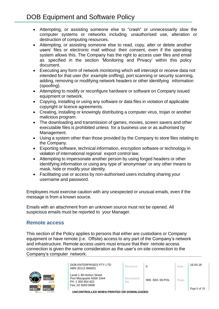- Attempting, or assisting someone else to "crash" or unnecessarily slow the computer systems or networks including unauthorised use, alteration or destruction of computing resources.
- Attempting, or assisting someone else to read, copy, alter or delete another users' files or electronic mail without their consent, even if the operating system allows this. The Company has the right to access user files and email as specified in the section 'Monitoring and Privacy' within this policy document.
- Executing any form of network monitoring which will intercept or receive data not intended for that user (for example sniffing), port scanning or security scanning, adding, removing or modifying network headers or other identifying information (spoofing).
- Attempting to modify or reconfigure hardware or software on Company issued equipment or network.
- Copying, installing or using any software or data files in violation of applicable copyright or licence agreements.
- Creating, installing or knowingly distributing a computer virus, trojan or another malicious program.
- The downloading and transmission of games, movies, screen savers and other executable files is prohibited unless for a business use or as authorised by Management.
- Using a system other than those provided by the Company to store files relating to the Company.
- Exporting software, technical information, encryption software or technology in violation of international regional export control law.
- Attempting to impersonate another person by using forged headers or other identifying information or using any type of 'anonymiser' or any other means to mask, hide or modify your identity.
- Facilitating use or access by non-authorised users including sharing your username and password.

Employees must exercise caution with any unexpected or unusual emails, even if the message is from a known source.

Emails with an attachment from an unknown source must not be opened. All suspicious emails must be reported to your Manager.

# **Remote access**

This section of the Policy applies to persons that either are custodians or Company equipment or have remote (i.e. Offsite) access to any part of the Company's network and infrastructure. Remote access users must ensure that their remote access connection is given the same consideration as the user's on-site connection to the Company's computer network.



| DOB ENTERPRISES PTY LTD<br>ABN 20112 866001                                                   | Revision              |                 | Date           | 16.04.18                       |
|-----------------------------------------------------------------------------------------------|-----------------------|-----------------|----------------|--------------------------------|
| Level 1 49 Horton Street<br>Port Macquarie NSW 2444<br>Ph: 1 300 854 622<br>Fax: 02 6583 8468 | <b>Document</b><br>No | IMS -503-00-POL | $^{\circ}$ age | $\Delta$ <sub>00</sub> 6 of 10 |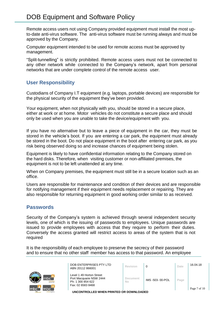# DOB Equipment and Software Policy

Remote access users not using Company provided equipment must install the most upto-date anti-virus software. The anti-virus software must be running always and must be approved by the Company.

Computer equipment intended to be used for remote access must be approved by management.

"Split-tunnelling" is strictly prohibited. Remote access users must not be connected to any other network while connected to the Company's network, apart from personal networks that are under complete control of the remote access user.

#### **User Responsibility**

Custodians of Company I.T equipment (e.g. laptops, portable devices) are responsible for the physical security of the equipment they've been provided.

Your equipment, when not physically with you, should be stored in a secure place, either at work or at home. Motor vehicles do not constitute a secure place and should only be used when you are unable to take the device/equipment with you.

If you have no alternative but to leave a piece of equipment in the car, they must be stored in the vehicle's boot. If you are entering a car park, the equipment must already be stored in the boot. Do not place equipment in the boot after entering car park, as you risk being observed doing so and increase chances of equipment being stolen.

Equipment is likely to have confidential information relating to the Company stored on the hard disks. Therefore, when visiting customer or non-affiliated premises, the equipment is not to be left unattended at any time.

When on Company premises, the equipment must still be in a secure location such as an office.

Users are responsible for maintenance and condition of their devices and are responsible for notifying management if their equipment needs replacement or repairing. They are also responsible for returning equipment in good working order similar to as received.

#### **Passwords**

Security of the Company's system is achieved through several independent security levels, one of which is the issuing of passwords to employees. Unique passwords are issued to provide employees with access that they require to perform their duties. Conversely the access granted will restrict access to areas of the system that is not required

It is the responsibility of each employee to preserve the secrecy of their password and to ensure that no other staff member has access to that password. An employee



| DOB ENTERPRISES PTY LTD<br>ABN 20112 866001                                                   | <b>Revision</b> |                 | Date | 16.04.18     |
|-----------------------------------------------------------------------------------------------|-----------------|-----------------|------|--------------|
| Level 1 49 Horton Street<br>Port Macquarie NSW 2444<br>Ph: 1 300 854 622<br>Fax: 02 6583 8468 | Document<br>No  | IMS -503-00-POL | Page | Page 7 of 10 |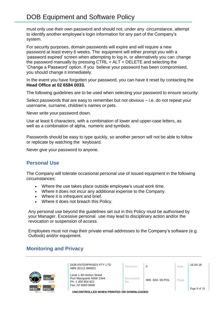must only use their own password and should not, under any circumstance, attempt to identify another employee's login information for any part of the Company's system.

For security purposes, domain passwords will expire and will require a new password at least every 6 weeks. The equipment will either prompt you with a 'password expired' screen when attempting to log in, or alternatively you can change the password manually by pressing CTRL + ALT + DELETE and selecting the 'Change a Password' option. If you believe your password has been compromised, you should change it immediately.

In the event you have forgotten your password, you can have it reset by contacting the **Head Office at 02 6584 0033.**

The following guidelines are to be used when selecting your password to ensure security:

Select passwords that are easy to remember but not obvious – i.e. do not repeat your username, surname, children's names or pets.

Never write your password down.

Use at least 6 characters, with a combination of lower and upper-case letters, as well as a combination of alpha, numeric and symbols.

Passwords should be easy to type quickly, so another person will not be able to follow or replicate by watching the keyboard.

Never give your password to anyone.

# **Personal Use**

The Company will tolerate occasional personal use of issued equipment in the following circumstances:

- Where the use takes place outside employee's usual work time.
- Where it does not incur any additional expense to the Company.
- Where it is infrequent and brief.
- Where it does not breach this Policy.

Any personal use beyond the guidelines set out in this Policy must be authorised by your Manager. Excessive personal use may lead to disciplinary action and/or the revocation or suspension of access.

Employees must not map their private email addresses to the Company's software (e.g. Outlook) and/or equipment.

# **Monitoring and Privacy**



| DOB ENTERPRISES PTY LTD<br>ABN 20112 866001                                                   | <b>Revision</b> |                 | Date | 16.04.18     |
|-----------------------------------------------------------------------------------------------|-----------------|-----------------|------|--------------|
| Level 1 49 Horton Street<br>Port Macquarie NSW 2444<br>Ph: 1 300 854 622<br>Fax: 02 6583 8468 | Document<br>No  | IMS -503-00-POL | Page | Page 8 of 10 |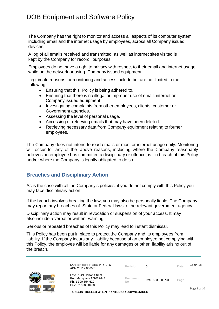The Company has the right to monitor and access all aspects of its computer system including email and the internet usage by employees, across all Company issued devices.

A log of all emails received and transmitted, as well as internet sites visited is kept by the Company for record purposes.

Employees do not have a right to privacy with respect to their email and internet usage while on the network or using Company issued equipment.

Legitimate reasons for monitoring and access include but are not limited to the following:

- Ensuring that this Policy is being adhered to.
- Ensuring that there is no illegal or improper use of email, internet or Company issued equipment.
- Investigating complaints from other employees, clients, customer or Government agencies.
- Assessing the level of personal usage.
- Accessing or retrieving emails that may have been deleted.
- Retrieving necessary data from Company equipment relating to former employees.

The Company does not intend to read emails or monitor internet usage daily. Monitoring will occur for any of the above reasons, including where the Company reasonably believes an employee has committed a disciplinary or offence, is in breach of this Policy and/or where the Company is legally obligated to do so.

# **Breaches and Disciplinary Action**

As is the case with all the Company's policies, if you do not comply with this Policy you may face disciplinary action.

If the breach involves breaking the law, you may also be personally liable. The Company may report any breaches of State or Federal laws to the relevant government agency.

Disciplinary action may result in revocation or suspension of your access. It may also include a verbal or written warning.

Serious or repeated breaches of this Policy may lead to instant dismissal.

This Policy has been put in place to protect the Company and its employees from liability. If the Company incurs any liability because of an employee not complying with this Policy, the employee will be liable for any damages or other liability arising out of the breach.



| DOB ENTERPRISES PTY LTD |
|-------------------------|
| ABN 20112 866001        |

| DOB ENTERPRISES PTY LTD<br>ABN 20112 866001                                                   | Revision       |                 | Date | 16.04.18     |
|-----------------------------------------------------------------------------------------------|----------------|-----------------|------|--------------|
| Level 1 49 Horton Street<br>Port Macquarie NSW 2444<br>Ph: 1 300 854 622<br>Fax: 02 6583 8468 | Document<br>No | IMS -503-00-POL | Page | Page 9 of 10 |